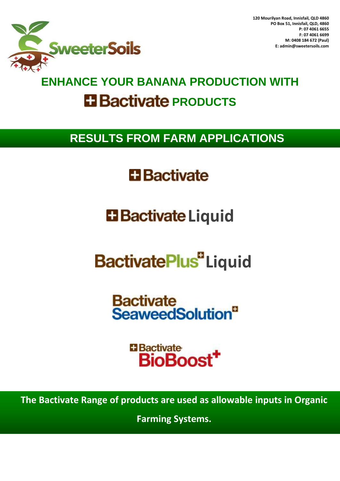

## **ENHANCE YOUR BANANA PRODUCTION WITH Bactivate PRODUCTS**

### **RESULTS FROM FARM APPLICATIONS**

## **H** Bactivate

## **Li** Bactivate Liquid

# **BactivatePlus** Liquid

**Bactivate SeaweedSolution**<sup>®</sup>

> **H** Bactivate **BioBoost**

**The Bactivate Range of products are used as allowable inputs in Organic** 

**Farming Systems.**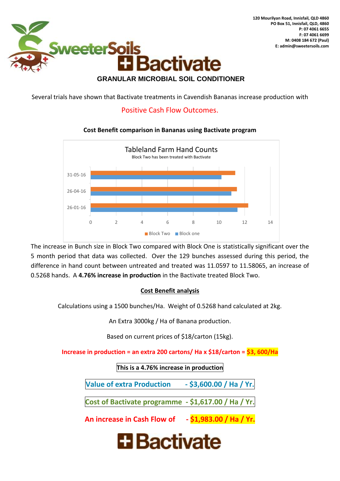

#### **GRANULAR MICROBIAL SOIL CONDITIONER**

Several trials have shown that Bactivate treatments in Cavendish Bananas increase production with

#### Positive Cash Flow Outcomes.

#### **Cost Benefit comparison in Bananas using Bactivate program**



The increase in Bunch size in Block Two compared with Block One is statistically significant over the 5 month period that data was collected. Over the 129 bunches assessed during this period, the difference in hand count between untreated and treated was 11.0597 to 11.58065, an increase of 0.5268 hands. A **4.76% increase in production** in the Bactivate treated Block Two.

#### **Cost Benefit analysis**

Calculations using a 1500 bunches/Ha. Weight of 0.5268 hand calculated at 2kg.

An Extra 3000kg / Ha of Banana production.

Based on current prices of \$18/carton (15kg).

**Increase in production = an extra 200 cartons/ Ha x \$18/carton = \$3, 600/Ha**

**This is a 4.76% increase in production**

**Value of extra Production - \$3,600.00 / Ha / Yr.**

**Cost of Bactivate programme - \$1,617.00 / Ha / Yr.**

**An increase in Cash Flow of - \$1,983.00 / Ha / Yr.**

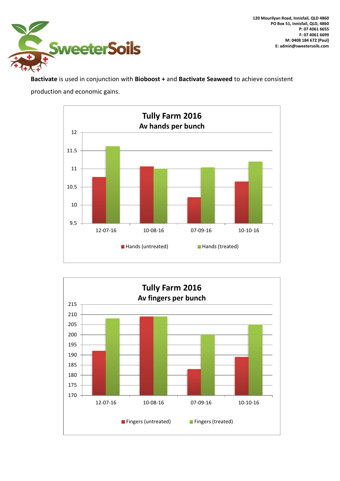

**120 Mourilyan Road, Innisfail, QLD 4860 PO Box 51, Innisfail, QLD, 4860 P: 07 4061 6655 F: 07 4061 6699 M: 0408 184 672 (Paul) E: admin@sweetersoils.com**

**Bactivate** is used in conjunction with **Bioboost +** and **Bactivate Seaweed** to achieve consistent production and economic gains.



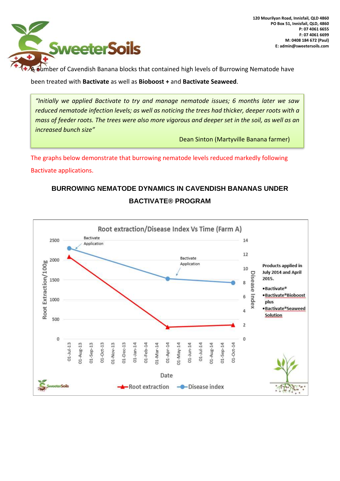

**+ A number of Cavendish Banana blocks that contained high levels of Burrowing Nematode have** 

been treated with **Bactivate** as well as **Bioboost +** and **Bactivate Seaweed**.

*"Initially we applied Bactivate to try and manage nematode issues; 6 months later we saw reduced nematode infection levels; as well as noticing the trees had thicker, deeper roots with a mass of feeder roots. The trees were also more vigorous and deeper set in the soil, as well as an increased bunch size"*

Dean Sinton (Martyville Banana farmer)

The graphs below demonstrate that burrowing nematode levels reduced markedly following Bactivate applications.

### **BURROWING NEMATODE DYNAMICS IN CAVENDISH BANANAS UNDER BACTIVATE® PROGRAM**

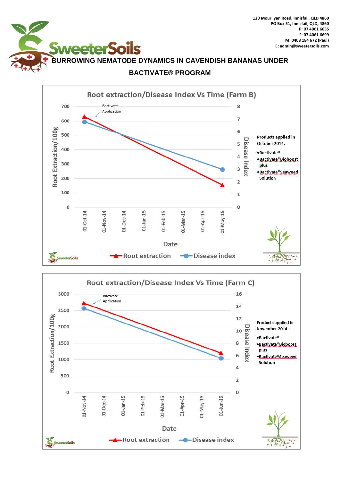



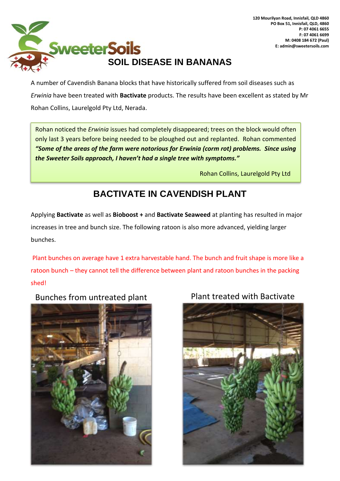

A number of Cavendish Banana blocks that have historically suffered from soil diseases such as *Erwinia* have been treated with **Bactivate** products. The results have been excellent as stated by Mr Rohan Collins, Laurelgold Pty Ltd, Nerada.

Rohan noticed the *Erwinia* issues had completely disappeared; trees on the block would often only last 3 years before being needed to be ploughed out and replanted. Rohan commented *"Some of the areas of the farm were notorious for Erwinia (corm rot) problems. Since using the Sweeter Soils approach, I haven't had a single tree with symptoms."*

Rohan Collins, Laurelgold Pty Ltd

### **BACTIVATE IN CAVENDISH PLANT**

Applying **Bactivate** as well as **Bioboost +** and **Bactivate Seaweed** at planting has resulted in major increases in tree and bunch size. The following ratoon is also more advanced, yielding larger bunches.

Plant bunches on average have 1 extra harvestable hand. The bunch and fruit shape is more like a ratoon bunch – they cannot tell the difference between plant and ratoon bunches in the packing shed!

Bunches from untreated plant Plant treated with Bactivate



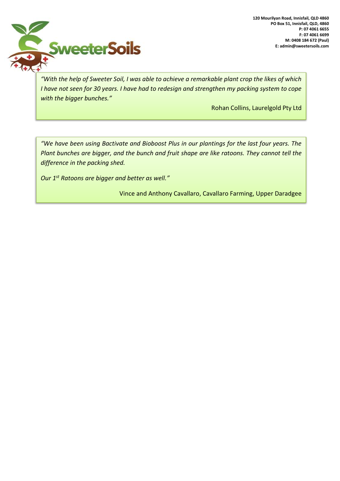

*"With the help of Sweeter Soil, I was able to achieve a remarkable plant crop the likes of which I have not seen for 30 years. I have had to redesign and strengthen my packing system to cope with the bigger bunches."*

Rohan Collins, Laurelgold Pty Ltd

*"We have been using Bactivate and Bioboost Plus in our plantings for the last four years. The Plant bunches are bigger, and the bunch and fruit shape are like ratoons. They cannot tell the difference in the packing shed.*

*Our 1st Ratoons are bigger and better as well."* 

Vince and Anthony Cavallaro, Cavallaro Farming, Upper Daradgee